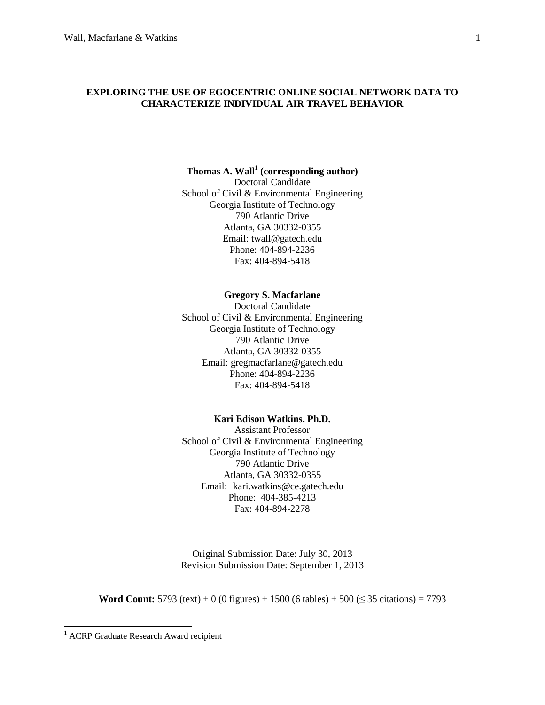## **EXPLORING THE USE OF EGOCENTRIC ONLINE SOCIAL NETWORK DATA TO CHARACTERIZE INDIVIDUAL AIR TRAVEL BEHAVIOR**

# **Thomas A. Wall<sup>1</sup> (corresponding author)**

Doctoral Candidate School of Civil & Environmental Engineering Georgia Institute of Technology 790 Atlantic Drive Atlanta, GA 30332-0355 Email: twall@gatech.edu Phone: 404-894-2236 Fax: 404-894-5418

### **Gregory S. Macfarlane**

Doctoral Candidate School of Civil & Environmental Engineering Georgia Institute of Technology 790 Atlantic Drive Atlanta, GA 30332-0355 Email: gregmacfarlane@gatech.edu Phone: 404-894-2236 Fax: 404-894-5418

#### **Kari Edison Watkins, Ph.D.**

Assistant Professor School of Civil & Environmental Engineering Georgia Institute of Technology 790 Atlantic Drive Atlanta, GA 30332-0355 Email: kari.watkins@ce.gatech.edu Phone: 404-385-4213 Fax: 404-894-2278

Original Submission Date: July 30, 2013 Revision Submission Date: September 1, 2013

**Word Count:** 5793 (text) + 0 (0 figures) + 1500 (6 tables) + 500 ( $\leq$  35 citations) = 7793

 $\overline{a}$ 

<sup>&</sup>lt;sup>1</sup> ACRP Graduate Research Award recipient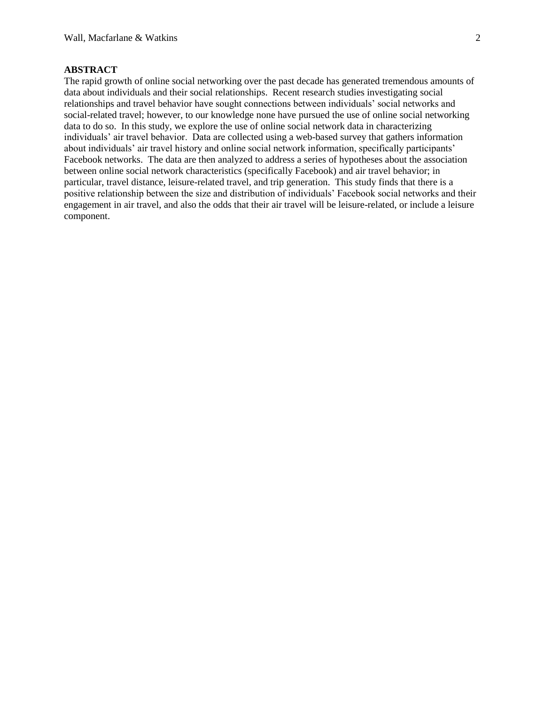## **ABSTRACT**

The rapid growth of online social networking over the past decade has generated tremendous amounts of data about individuals and their social relationships. Recent research studies investigating social relationships and travel behavior have sought connections between individuals' social networks and social-related travel; however, to our knowledge none have pursued the use of online social networking data to do so. In this study, we explore the use of online social network data in characterizing individuals' air travel behavior. Data are collected using a web-based survey that gathers information about individuals' air travel history and online social network information, specifically participants' Facebook networks. The data are then analyzed to address a series of hypotheses about the association between online social network characteristics (specifically Facebook) and air travel behavior; in particular, travel distance, leisure-related travel, and trip generation. This study finds that there is a positive relationship between the size and distribution of individuals' Facebook social networks and their engagement in air travel, and also the odds that their air travel will be leisure-related, or include a leisure component.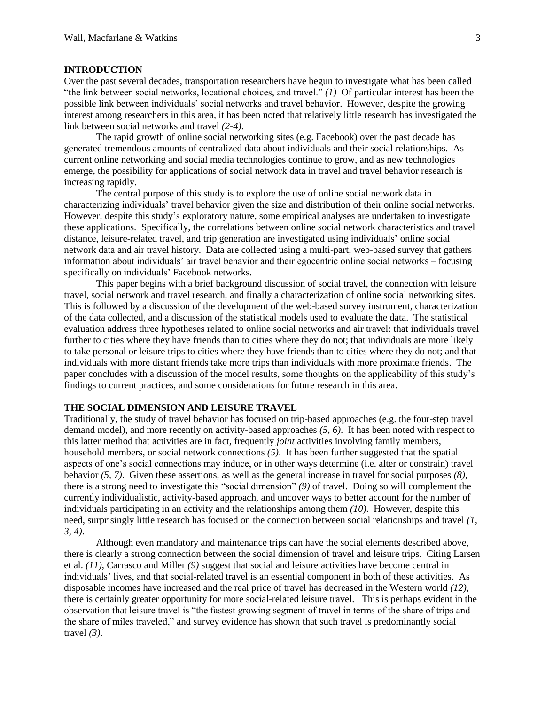### **INTRODUCTION**

Over the past several decades, transportation researchers have begun to investigate what has been called "the link between social networks, locational choices, and travel." *[\(1\)](#page-13-0)* Of particular interest has been the possible link between individuals' social networks and travel behavior. However, despite the growing interest among researchers in this area, it has been noted that relatively little research has investigated the link between social networks and travel *[\(2-4\)](#page-13-1)*.

The rapid growth of online social networking sites (e.g. Facebook) over the past decade has generated tremendous amounts of centralized data about individuals and their social relationships. As current online networking and social media technologies continue to grow, and as new technologies emerge, the possibility for applications of social network data in travel and travel behavior research is increasing rapidly.

The central purpose of this study is to explore the use of online social network data in characterizing individuals' travel behavior given the size and distribution of their online social networks. However, despite this study's exploratory nature, some empirical analyses are undertaken to investigate these applications. Specifically, the correlations between online social network characteristics and travel distance, leisure-related travel, and trip generation are investigated using individuals' online social network data and air travel history. Data are collected using a multi-part, web-based survey that gathers information about individuals' air travel behavior and their egocentric online social networks – focusing specifically on individuals' Facebook networks.

This paper begins with a brief background discussion of social travel, the connection with leisure travel, social network and travel research, and finally a characterization of online social networking sites. This is followed by a discussion of the development of the web-based survey instrument, characterization of the data collected, and a discussion of the statistical models used to evaluate the data. The statistical evaluation address three hypotheses related to online social networks and air travel: that individuals travel further to cities where they have friends than to cities where they do not; that individuals are more likely to take personal or leisure trips to cities where they have friends than to cities where they do not; and that individuals with more distant friends take more trips than individuals with more proximate friends. The paper concludes with a discussion of the model results, some thoughts on the applicability of this study's findings to current practices, and some considerations for future research in this area.

### **THE SOCIAL DIMENSION AND LEISURE TRAVEL**

Traditionally, the study of travel behavior has focused on trip-based approaches (e.g. the four-step travel demand model), and more recently on activity-based approaches *[\(5,](#page-13-2) [6\)](#page-13-3)*. It has been noted with respect to this latter method that activities are in fact, frequently *joint* activities involving family members, household members, or social network connections *[\(5\)](#page-13-2)*. It has been further suggested that the spatial aspects of one's social connections may induce, or in other ways determine (i.e. alter or constrain) travel behavior *[\(5,](#page-13-2) [7\)](#page-13-4)*. Given these assertions, as well as the general increase in travel for social purposes *[\(8\)](#page-13-5)*, there is a strong need to investigate this "social dimension" *[\(9\)](#page-13-6)* of travel. Doing so will complement the currently individualistic, activity-based approach, and uncover ways to better account for the number of individuals participating in an activity and the relationships among them *[\(10\)](#page-13-7)*. However, despite this need, surprisingly little research has focused on the connection between social relationships and travel *[\(1,](#page-13-0) [3,](#page-13-8) [4\)](#page-13-9)*.

Although even mandatory and maintenance trips can have the social elements described above, there is clearly a strong connection between the social dimension of travel and leisure trips. Citing Larsen et al. *[\(11\)](#page-14-0)*, Carrasco and Miller *[\(9\)](#page-13-6)* suggest that social and leisure activities have become central in individuals' lives, and that social-related travel is an essential component in both of these activities. As disposable incomes have increased and the real price of travel has decreased in the Western world *[\(12\)](#page-14-1)*, there is certainly greater opportunity for more social-related leisure travel. This is perhaps evident in the observation that leisure travel is "the fastest growing segment of travel in terms of the share of trips and the share of miles traveled," and survey evidence has shown that such travel is predominantly social travel *[\(3\)](#page-13-8)*.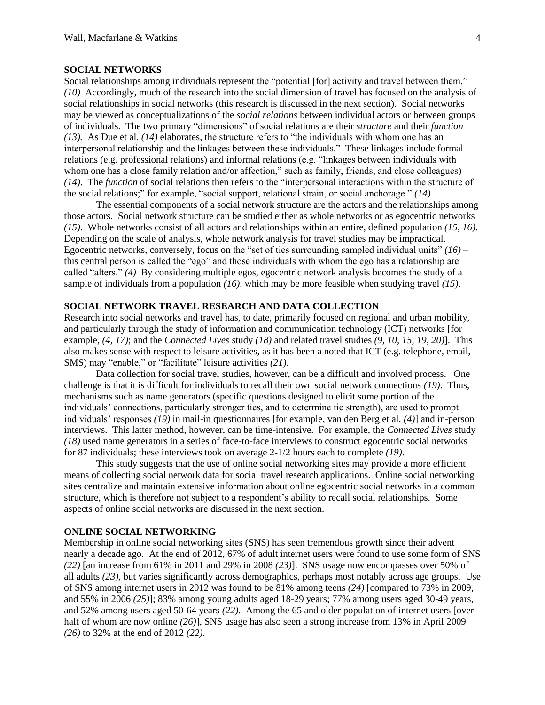### **SOCIAL NETWORKS**

Social relationships among individuals represent the "potential [for] activity and travel between them." *[\(10\)](#page-13-7)* Accordingly, much of the research into the social dimension of travel has focused on the analysis of social relationships in social networks (this research is discussed in the next section). Social networks may be viewed as conceptualizations of the *social relations* between individual actors or between groups of individuals*.* The two primary "dimensions" of social relations are their *structure* and their *function [\(13\)](#page-14-2).* As Due et al. *[\(14\)](#page-14-3)* elaborates, the structure refers to "the individuals with whom one has an interpersonal relationship and the linkages between these individuals." These linkages include formal relations (e.g. professional relations) and informal relations (e.g. "linkages between individuals with whom one has a close family relation and/or affection," such as family, friends, and close colleagues) *[\(14\)](#page-14-3)*. The *function* of social relations then refers to the "interpersonal interactions within the structure of the social relations;" for example, "social support, relational strain, or social anchorage." *[\(14\)](#page-14-3)*

The essential components of a social network structure are the actors and the relationships among those actors. Social network structure can be studied either as whole networks or as egocentric networks *[\(15\)](#page-14-4)*. Whole networks consist of all actors and relationships within an entire, defined population *[\(15,](#page-14-4) [16\)](#page-14-5)*. Depending on the scale of analysis, whole network analysis for travel studies may be impractical. Egocentric networks, conversely, focus on the "set of ties surrounding sampled individual units" *[\(16\)](#page-14-5)* – this central person is called the "ego" and those individuals with whom the ego has a relationship are called "alters." *[\(4\)](#page-13-9)* By considering multiple egos, egocentric network analysis becomes the study of a sample of individuals from a population *[\(16\)](#page-14-5)*, which may be more feasible when studying travel *[\(15\)](#page-14-4)*.

## **SOCIAL NETWORK TRAVEL RESEARCH AND DATA COLLECTION**

Research into social networks and travel has, to date, primarily focused on regional and urban mobility, and particularly through the study of information and communication technology (ICT) networks [for example, *[\(4,](#page-13-9) [17\)](#page-14-6)*; and the *Connected Lives* study *[\(18\)](#page-14-7)* and related travel studies *[\(9,](#page-13-6) [10,](#page-13-7) [15,](#page-14-4) [19,](#page-14-8) [20\)](#page-14-9)*]. This also makes sense with respect to leisure activities, as it has been a noted that ICT (e.g. telephone, email, SMS) may "enable," or "facilitate" leisure activities *[\(21\)](#page-14-10)*.

Data collection for social travel studies, however, can be a difficult and involved process. One challenge is that it is difficult for individuals to recall their own social network connections *[\(19\)](#page-14-8)*. Thus, mechanisms such as name generators (specific questions designed to elicit some portion of the individuals' connections, particularly stronger ties, and to determine tie strength), are used to prompt individuals' responses *[\(19\)](#page-14-8)* in mail-in questionnaires [for example, van den Berg et al. *[\(4\)](#page-13-9)*] and in-person interviews. This latter method, however, can be time-intensive. For example, the *Connected Lives* study *[\(18\)](#page-14-7)* used name generators in a series of face-to-face interviews to construct egocentric social networks for 87 individuals; these interviews took on average 2-1/2 hours each to complete *[\(19\)](#page-14-8)*.

This study suggests that the use of online social networking sites may provide a more efficient means of collecting social network data for social travel research applications. Online social networking sites centralize and maintain extensive information about online egocentric social networks in a common structure, which is therefore not subject to a respondent's ability to recall social relationships. Some aspects of online social networks are discussed in the next section.

#### **ONLINE SOCIAL NETWORKING**

Membership in online social networking sites (SNS) has seen tremendous growth since their advent nearly a decade ago. At the end of 2012, 67% of adult internet users were found to use some form of SNS *[\(22\)](#page-14-11)* [an increase from 61% in 2011 and 29% in 2008 *[\(23\)](#page-14-12)*]. SNS usage now encompasses over 50% of all adults *[\(23\)](#page-14-12)*, but varies significantly across demographics, perhaps most notably across age groups. Use of SNS among internet users in 2012 was found to be 81% among teens *[\(24\)](#page-14-13)* [compared to 73% in 2009, and 55% in 2006 *[\(25\)](#page-14-14)*]; 83% among young adults aged 18-29 years; 77% among users aged 30-49 years, and 52% among users aged 50-64 years *[\(22\)](#page-14-11)*. Among the 65 and older population of internet users [over half of whom are now online *[\(26\)](#page-14-15)*], SNS usage has also seen a strong increase from 13% in April 2009 *[\(26\)](#page-14-15)* to 32% at the end of 2012 *[\(22\)](#page-14-11)*.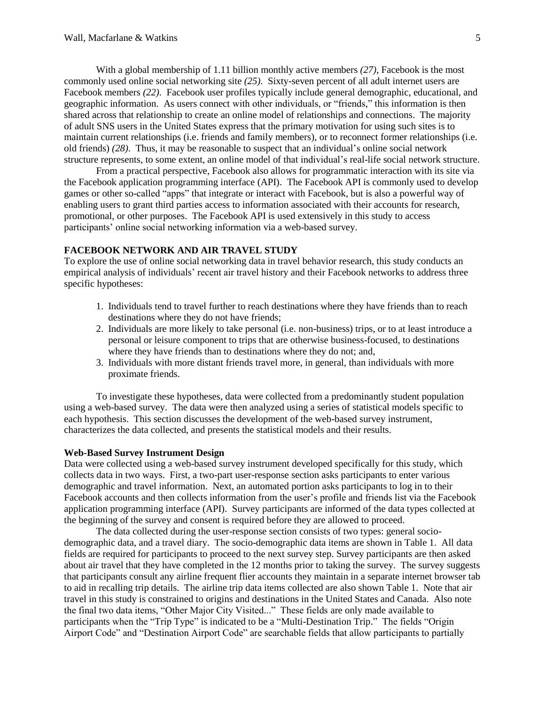With a global membership of 1.11 billion monthly active members *[\(27\)](#page-14-16)*, Facebook is the most commonly used online social networking site *[\(25\)](#page-14-14)*. Sixty-seven percent of all adult internet users are Facebook members *[\(22\)](#page-14-11)*. Facebook user profiles typically include general demographic, educational, and geographic information. As users connect with other individuals, or "friends," this information is then shared across that relationship to create an online model of relationships and connections. The majority of adult SNS users in the United States express that the primary motivation for using such sites is to maintain current relationships (i.e. friends and family members), or to reconnect former relationships (i.e. old friends) *[\(28\)](#page-14-17)*. Thus, it may be reasonable to suspect that an individual's online social network structure represents, to some extent, an online model of that individual's real-life social network structure.

From a practical perspective, Facebook also allows for programmatic interaction with its site via the Facebook application programming interface (API). The Facebook API is commonly used to develop games or other so-called "apps" that integrate or interact with Facebook, but is also a powerful way of enabling users to grant third parties access to information associated with their accounts for research, promotional, or other purposes. The Facebook API is used extensively in this study to access participants' online social networking information via a web-based survey.

# **FACEBOOK NETWORK AND AIR TRAVEL STUDY**

To explore the use of online social networking data in travel behavior research, this study conducts an empirical analysis of individuals' recent air travel history and their Facebook networks to address three specific hypotheses:

- 1. Individuals tend to travel further to reach destinations where they have friends than to reach destinations where they do not have friends;
- 2. Individuals are more likely to take personal (i.e. non-business) trips, or to at least introduce a personal or leisure component to trips that are otherwise business-focused, to destinations where they have friends than to destinations where they do not; and,
- 3. Individuals with more distant friends travel more, in general, than individuals with more proximate friends.

To investigate these hypotheses, data were collected from a predominantly student population using a web-based survey. The data were then analyzed using a series of statistical models specific to each hypothesis. This section discusses the development of the web-based survey instrument, characterizes the data collected, and presents the statistical models and their results.

### **Web-Based Survey Instrument Design**

Data were collected using a web-based survey instrument developed specifically for this study, which collects data in two ways. First, a two-part user-response section asks participants to enter various demographic and travel information. Next, an automated portion asks participants to log in to their Facebook accounts and then collects information from the user's profile and friends list via the Facebook application programming interface (API). Survey participants are informed of the data types collected at the beginning of the survey and consent is required before they are allowed to proceed.

The data collected during the user-response section consists of two types: general sociodemographic data, and a travel diary. The socio-demographic data items are shown in Table 1. All data fields are required for participants to proceed to the next survey step. Survey participants are then asked about air travel that they have completed in the 12 months prior to taking the survey. The survey suggests that participants consult any airline frequent flier accounts they maintain in a separate internet browser tab to aid in recalling trip details. The airline trip data items collected are also shown Table 1. Note that air travel in this study is constrained to origins and destinations in the United States and Canada. Also note the final two data items, "Other Major City Visited..." These fields are only made available to participants when the "Trip Type" is indicated to be a "Multi-Destination Trip." The fields "Origin Airport Code" and "Destination Airport Code" are searchable fields that allow participants to partially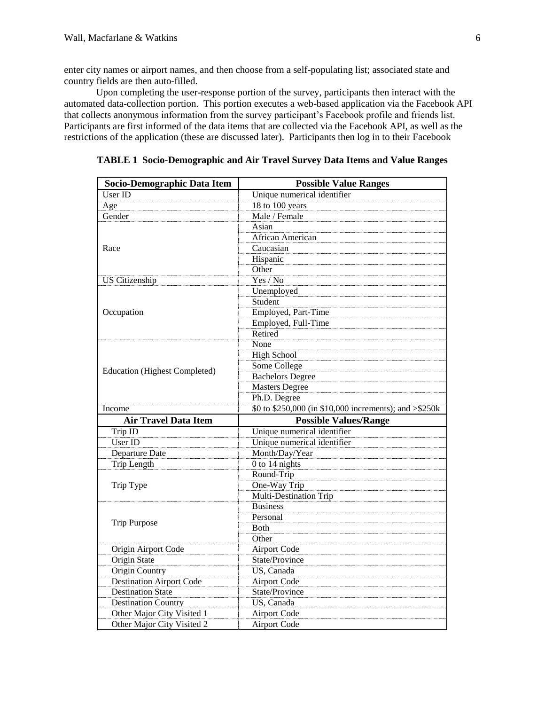enter city names or airport names, and then choose from a self-populating list; associated state and country fields are then auto-filled.

Upon completing the user-response portion of the survey, participants then interact with the automated data-collection portion. This portion executes a web-based application via the Facebook API that collects anonymous information from the survey participant's Facebook profile and friends list. Participants are first informed of the data items that are collected via the Facebook API, as well as the restrictions of the application (these are discussed later). Participants then log in to their Facebook

| Socio-Demographic Data Item          | <b>Possible Value Ranges</b>                           |  |  |  |  |
|--------------------------------------|--------------------------------------------------------|--|--|--|--|
| User ID                              | Unique numerical identifier                            |  |  |  |  |
| Age                                  | 18 to 100 years                                        |  |  |  |  |
| Gender                               | Male / Female                                          |  |  |  |  |
|                                      | Asian                                                  |  |  |  |  |
|                                      | African American                                       |  |  |  |  |
| Race                                 | Caucasian                                              |  |  |  |  |
|                                      | Hispanic                                               |  |  |  |  |
|                                      | Other                                                  |  |  |  |  |
| <b>US Citizenship</b>                | Yes / No                                               |  |  |  |  |
|                                      | Unemployed                                             |  |  |  |  |
|                                      | Student                                                |  |  |  |  |
| Occupation                           | Employed, Part-Time                                    |  |  |  |  |
|                                      | Employed, Full-Time                                    |  |  |  |  |
|                                      | Retired                                                |  |  |  |  |
|                                      | None                                                   |  |  |  |  |
|                                      | <b>High School</b>                                     |  |  |  |  |
|                                      | Some College                                           |  |  |  |  |
| <b>Education</b> (Highest Completed) | <b>Bachelors Degree</b>                                |  |  |  |  |
|                                      | <b>Masters Degree</b>                                  |  |  |  |  |
|                                      | Ph.D. Degree                                           |  |  |  |  |
| Income                               | \$0 to \$250,000 (in \$10,000 increments); and >\$250k |  |  |  |  |
| <b>Air Travel Data Item</b>          | <b>Possible Values/Range</b>                           |  |  |  |  |
| Trip ID                              | Unique numerical identifier                            |  |  |  |  |
| User ID                              | Unique numerical identifier                            |  |  |  |  |
| Departure Date                       | Month/Day/Year                                         |  |  |  |  |
| <b>Trip Length</b>                   | 0 to 14 nights                                         |  |  |  |  |
|                                      | Round-Trip                                             |  |  |  |  |
| Trip Type                            | One-Way Trip                                           |  |  |  |  |
|                                      | <b>Multi-Destination Trip</b>                          |  |  |  |  |
|                                      | <b>Business</b>                                        |  |  |  |  |
|                                      | Personal                                               |  |  |  |  |
| <b>Trip Purpose</b>                  | Both                                                   |  |  |  |  |
|                                      | Other                                                  |  |  |  |  |
| Origin Airport Code                  | <b>Airport Code</b>                                    |  |  |  |  |
| Origin State                         | State/Province                                         |  |  |  |  |
| <b>Origin Country</b>                | US, Canada                                             |  |  |  |  |
| <b>Destination Airport Code</b>      | <b>Airport Code</b>                                    |  |  |  |  |
| <b>Destination State</b>             | State/Province                                         |  |  |  |  |
| <b>Destination Country</b>           | US, Canada                                             |  |  |  |  |
| Other Major City Visited 1           | <b>Airport Code</b>                                    |  |  |  |  |
| Other Major City Visited 2           | <b>Airport Code</b>                                    |  |  |  |  |

**TABLE 1 Socio-Demographic and Air Travel Survey Data Items and Value Ranges**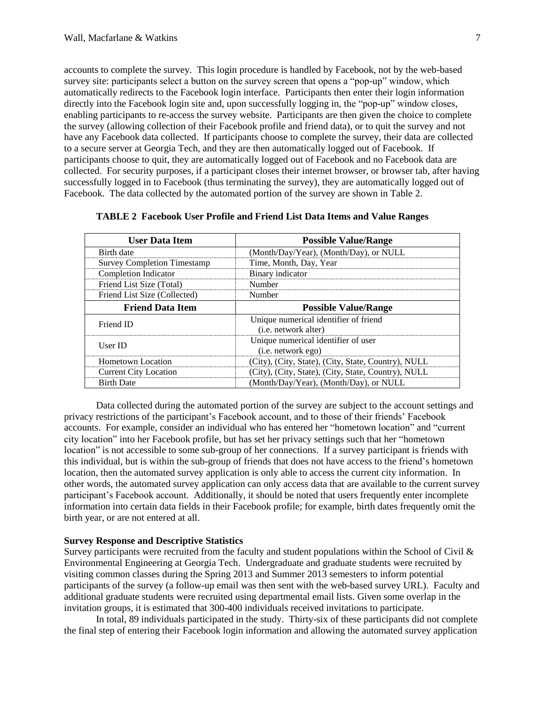accounts to complete the survey. This login procedure is handled by Facebook, not by the web-based survey site: participants select a button on the survey screen that opens a "pop-up" window, which automatically redirects to the Facebook login interface. Participants then enter their login information directly into the Facebook login site and, upon successfully logging in, the "pop-up" window closes, enabling participants to re-access the survey website. Participants are then given the choice to complete the survey (allowing collection of their Facebook profile and friend data), or to quit the survey and not have any Facebook data collected. If participants choose to complete the survey, their data are collected to a secure server at Georgia Tech, and they are then automatically logged out of Facebook. If participants choose to quit, they are automatically logged out of Facebook and no Facebook data are collected. For security purposes, if a participant closes their internet browser, or browser tab, after having successfully logged in to Facebook (thus terminating the survey), they are automatically logged out of Facebook. The data collected by the automated portion of the survey are shown in Table 2.

| <b>User Data Item</b>              | <b>Possible Value/Range</b>                                           |
|------------------------------------|-----------------------------------------------------------------------|
| Birth date                         | (Month/Day/Year), (Month/Day), or NULL                                |
| <b>Survey Completion Timestamp</b> | Time, Month, Day, Year                                                |
| <b>Completion Indicator</b>        | Binary indicator                                                      |
| Friend List Size (Total)           | Number                                                                |
| Friend List Size (Collected)       | Number                                                                |
| <b>Friend Data Item</b>            | <b>Possible Value/Range</b>                                           |
| Friend ID                          | Unique numerical identifier of friend<br>( <i>i.e.</i> network alter) |
| User ID                            | Unique numerical identifier of user<br>$(i.e.$ network ego)           |
| <b>Hometown Location</b>           | (City), (City, State), (City, State, Country), NULL                   |
| <b>Current City Location</b>       | (City), (City, State), (City, State, Country), NULL                   |
| <b>Birth Date</b>                  | (Month/Day/Year), (Month/Day), or NULL                                |

**TABLE 2 Facebook User Profile and Friend List Data Items and Value Ranges**

Data collected during the automated portion of the survey are subject to the account settings and privacy restrictions of the participant's Facebook account, and to those of their friends' Facebook accounts. For example, consider an individual who has entered her "hometown location" and "current city location" into her Facebook profile, but has set her privacy settings such that her "hometown location" is not accessible to some sub-group of her connections. If a survey participant is friends with this individual, but is within the sub-group of friends that does not have access to the friend's hometown location, then the automated survey application is only able to access the current city information. In other words, the automated survey application can only access data that are available to the current survey participant's Facebook account. Additionally, it should be noted that users frequently enter incomplete information into certain data fields in their Facebook profile; for example, birth dates frequently omit the birth year, or are not entered at all.

# **Survey Response and Descriptive Statistics**

Survey participants were recruited from the faculty and student populations within the School of Civil & Environmental Engineering at Georgia Tech. Undergraduate and graduate students were recruited by visiting common classes during the Spring 2013 and Summer 2013 semesters to inform potential participants of the survey (a follow-up email was then sent with the web-based survey URL). Faculty and additional graduate students were recruited using departmental email lists. Given some overlap in the invitation groups, it is estimated that 300-400 individuals received invitations to participate.

In total, 89 individuals participated in the study. Thirty-six of these participants did not complete the final step of entering their Facebook login information and allowing the automated survey application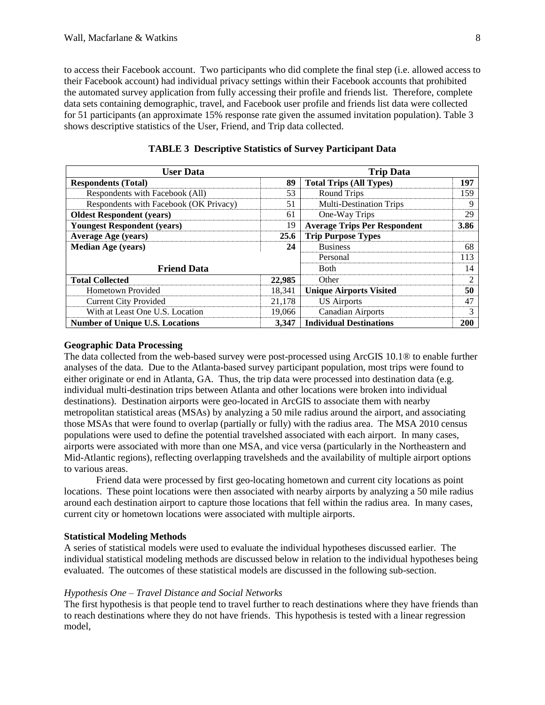to access their Facebook account. Two participants who did complete the final step (i.e. allowed access to their Facebook account) had individual privacy settings within their Facebook accounts that prohibited the automated survey application from fully accessing their profile and friends list. Therefore, complete data sets containing demographic, travel, and Facebook user profile and friends list data were collected for 51 participants (an approximate 15% response rate given the assumed invitation population). Table 3 shows descriptive statistics of the User, Friend, and Trip data collected.

| <b>User Data</b>                       | <b>Trip Data</b> |                                     |                |  |
|----------------------------------------|------------------|-------------------------------------|----------------|--|
| <b>Respondents (Total)</b>             | 89               | <b>Total Trips (All Types)</b>      | 197            |  |
| Respondents with Facebook (All)        | 53               | Round Trips                         | 159            |  |
| Respondents with Facebook (OK Privacy) | 51               | <b>Multi-Destination Trips</b>      | 9              |  |
| <b>Oldest Respondent (years)</b>       | 61               | One-Way Trips                       | 29             |  |
| <b>Youngest Respondent (years)</b>     | 19               | <b>Average Trips Per Respondent</b> | 3.86           |  |
| <b>Average Age (years)</b>             | 25.6             | <b>Trip Purpose Types</b>           |                |  |
| <b>Median Age (years)</b>              |                  | <b>Business</b>                     | 68             |  |
|                                        |                  | Personal                            | 113            |  |
| <b>Friend Data</b>                     |                  | <b>B</b> oth                        | 14             |  |
| <b>Total Collected</b>                 | 22,985           | Other                               | $\mathfrak{D}$ |  |
| <b>Hometown Provided</b>               | 18,341           | <b>Unique Airports Visited</b>      | 50             |  |
| <b>Current City Provided</b>           | 21,178           | <b>US Airports</b>                  | 47             |  |
| With at Least One U.S. Location        | 19,066           | <b>Canadian Airports</b>            | 3              |  |
| <b>Number of Unique U.S. Locations</b> | 3.347            | <b>Individual Destinations</b>      | 200            |  |

| <b>TABLE 3 Descriptive Statistics of Survey Participant Data</b> |  |  |
|------------------------------------------------------------------|--|--|
|------------------------------------------------------------------|--|--|

### **Geographic Data Processing**

The data collected from the web-based survey were post-processed using ArcGIS 10.1® to enable further analyses of the data. Due to the Atlanta-based survey participant population, most trips were found to either originate or end in Atlanta, GA. Thus, the trip data were processed into destination data (e.g. individual multi-destination trips between Atlanta and other locations were broken into individual destinations). Destination airports were geo-located in ArcGIS to associate them with nearby metropolitan statistical areas (MSAs) by analyzing a 50 mile radius around the airport, and associating those MSAs that were found to overlap (partially or fully) with the radius area. The MSA 2010 census populations were used to define the potential travelshed associated with each airport. In many cases, airports were associated with more than one MSA, and vice versa (particularly in the Northeastern and Mid-Atlantic regions), reflecting overlapping travelsheds and the availability of multiple airport options to various areas.

Friend data were processed by first geo-locating hometown and current city locations as point locations. These point locations were then associated with nearby airports by analyzing a 50 mile radius around each destination airport to capture those locations that fell within the radius area. In many cases, current city or hometown locations were associated with multiple airports.

# **Statistical Modeling Methods**

A series of statistical models were used to evaluate the individual hypotheses discussed earlier. The individual statistical modeling methods are discussed below in relation to the individual hypotheses being evaluated. The outcomes of these statistical models are discussed in the following sub-section.

### *Hypothesis One – Travel Distance and Social Networks*

The first hypothesis is that people tend to travel further to reach destinations where they have friends than to reach destinations where they do not have friends. This hypothesis is tested with a linear regression model,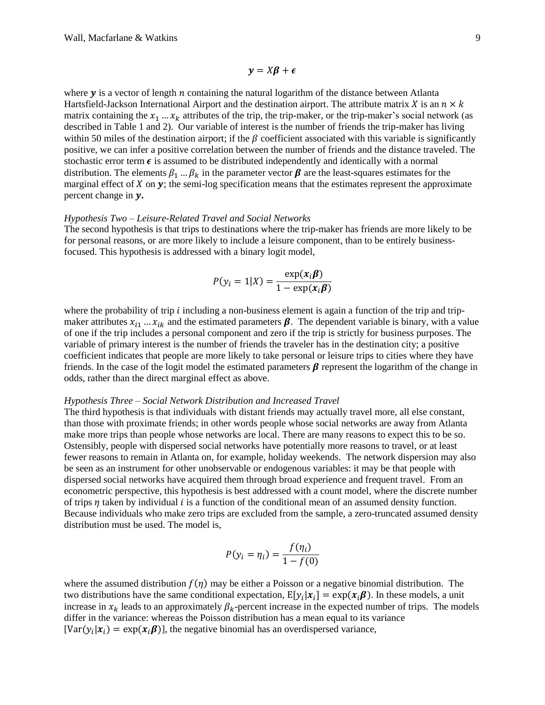$v = X\beta + \epsilon$ 

where  $y$  is a vector of length  $n$  containing the natural logarithm of the distance between Atlanta Hartsfield-Jackson International Airport and the destination airport. The attribute matrix X is an  $n \times k$ matrix containing the  $x_1 \ldots x_k$  attributes of the trip, the trip-maker, or the trip-maker's social network (as described in Table 1 and 2). Our variable of interest is the number of friends the trip-maker has living within 50 miles of the destination airport; if the  $\beta$  coefficient associated with this variable is significantly positive, we can infer a positive correlation between the number of friends and the distance traveled. The stochastic error term  $\epsilon$  is assumed to be distributed independently and identically with a normal distribution. The elements  $\beta_1 \dots \beta_k$  in the parameter vector  $\beta$  are the least-squares estimates for the marginal effect of  $X$  on  $y$ ; the semi-log specification means that the estimates represent the approximate percent change in y.

#### *Hypothesis Two – Leisure-Related Travel and Social Networks*

The second hypothesis is that trips to destinations where the trip-maker has friends are more likely to be for personal reasons, or are more likely to include a leisure component, than to be entirely businessfocused. This hypothesis is addressed with a binary logit model,

$$
P(y_i = 1|X) = \frac{\exp(x_i \beta)}{1 - \exp(x_i \beta)}
$$

where the probability of trip  $i$  including a non-business element is again a function of the trip and tripmaker attributes  $x_{i1}$  ...  $x_{ik}$  and the estimated parameters  $\beta$ . The dependent variable is binary, with a value of one if the trip includes a personal component and zero if the trip is strictly for business purposes. The variable of primary interest is the number of friends the traveler has in the destination city; a positive coefficient indicates that people are more likely to take personal or leisure trips to cities where they have friends. In the case of the logit model the estimated parameters  $\beta$  represent the logarithm of the change in odds, rather than the direct marginal effect as above.

#### *Hypothesis Three – Social Network Distribution and Increased Travel*

The third hypothesis is that individuals with distant friends may actually travel more, all else constant, than those with proximate friends; in other words people whose social networks are away from Atlanta make more trips than people whose networks are local. There are many reasons to expect this to be so. Ostensibly, people with dispersed social networks have potentially more reasons to travel, or at least fewer reasons to remain in Atlanta on, for example, holiday weekends. The network dispersion may also be seen as an instrument for other unobservable or endogenous variables: it may be that people with dispersed social networks have acquired them through broad experience and frequent travel. From an econometric perspective, this hypothesis is best addressed with a count model, where the discrete number of trips  $\eta$  taken by individual i is a function of the conditional mean of an assumed density function. Because individuals who make zero trips are excluded from the sample, a zero-truncated assumed density distribution must be used. The model is,

$$
P(y_i = \eta_i) = \frac{f(\eta_i)}{1 - f(0)}
$$

where the assumed distribution  $f(\eta)$  may be either a Poisson or a negative binomial distribution. The two distributions have the same conditional expectation,  $E[y_i|x_i] = \exp(x_i\beta)$ . In these models, a unit increase in  $x_k$  leads to an approximately  $\beta_k$ -percent increase in the expected number of trips. The models differ in the variance: whereas the Poisson distribution has a mean equal to its variance  $[Var(y_i|\mathbf{x}_i) = exp(\mathbf{x}_i\boldsymbol{\beta})]$ , the negative binomial has an overdispersed variance,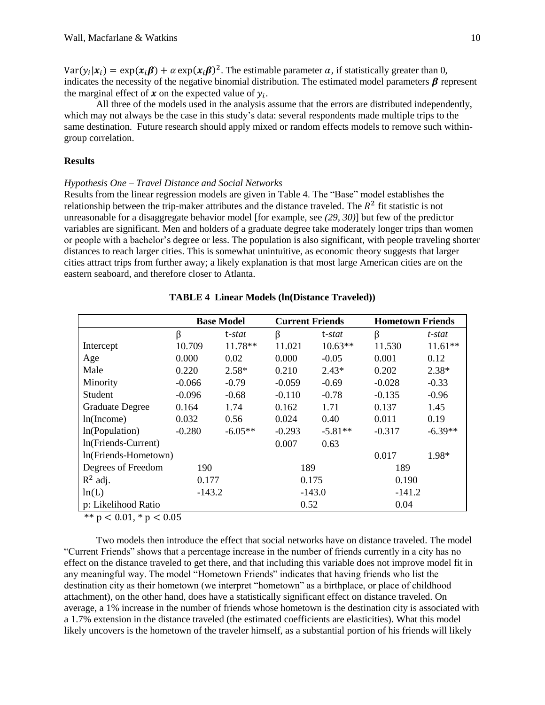$Var(y_i|\mathbf{x}_i) = exp(\mathbf{x}_i\boldsymbol{\beta}) + \alpha exp(\mathbf{x}_i\boldsymbol{\beta})^2$ . The estimable parameter  $\alpha$ , if statistically greater than 0, indicates the necessity of the negative binomial distribution. The estimated model parameters  $\beta$  represent the marginal effect of  $x$  on the expected value of  $y_i$ .

All three of the models used in the analysis assume that the errors are distributed independently, which may not always be the case in this study's data: several respondents made multiple trips to the same destination. Future research should apply mixed or random effects models to remove such withingroup correlation.

# **Results**

#### *Hypothesis One – Travel Distance and Social Networks*

Results from the linear regression models are given in Table 4. The "Base" model establishes the relationship between the trip-maker attributes and the distance traveled. The  $R^2$  fit statistic is not unreasonable for a disaggregate behavior model [for example, see *[\(29,](#page-14-18) [30\)](#page-14-19)*] but few of the predictor variables are significant. Men and holders of a graduate degree take moderately longer trips than women or people with a bachelor's degree or less. The population is also significant, with people traveling shorter distances to reach larger cities. This is somewhat unintuitive, as economic theory suggests that larger cities attract trips from further away; a likely explanation is that most large American cities are on the eastern seaboard, and therefore closer to Atlanta.

|                      | <b>Base Model</b> |           | <b>Current Friends</b> |           |          | <b>Hometown Friends</b> |  |
|----------------------|-------------------|-----------|------------------------|-----------|----------|-------------------------|--|
|                      | β                 | t-stat    | β                      | t-stat    | β        | t-stat                  |  |
| Intercept            | 10.709            | 11.78**   | 11.021                 | $10.63**$ | 11.530   | $11.61**$               |  |
| Age                  | 0.000             | 0.02      | 0.000                  | $-0.05$   | 0.001    | 0.12                    |  |
| Male                 | 0.220             | $2.58*$   | 0.210                  | $2.43*$   | 0.202    | $2.38*$                 |  |
| Minority             | $-0.066$          | $-0.79$   | $-0.059$               | $-0.69$   | $-0.028$ | $-0.33$                 |  |
| Student              | $-0.096$          | $-0.68$   | $-0.110$               | $-0.78$   | $-0.135$ | $-0.96$                 |  |
| Graduate Degree      | 0.164             | 1.74      | 0.162                  | 1.71      | 0.137    | 1.45                    |  |
| ln(Income)           | 0.032             | 0.56      | 0.024                  | 0.40      | 0.011    | 0.19                    |  |
| In(Population)       | $-0.280$          | $-6.05**$ | $-0.293$               | $-5.81**$ | $-0.317$ | $-6.39**$               |  |
| In(Friends-Current)  |                   |           | 0.007                  | 0.63      |          |                         |  |
| In(Friends-Hometown) |                   |           |                        |           | 0.017    | 1.98*                   |  |
| Degrees of Freedom   | 190               |           | 189                    |           | 189      |                         |  |
| $R^2$ adj.           | 0.177             |           | 0.175                  |           | 0.190    |                         |  |
| ln(L)                | $-143.2$          |           |                        | $-143.0$  |          | $-141.2$                |  |
| p: Likelihood Ratio  |                   |           | 0.52                   |           | 0.04     |                         |  |

### **TABLE 4 Linear Models (ln(Distance Traveled))**

\*\*  $p < 0.01$ , \*  $p < 0.05$ 

Two models then introduce the effect that social networks have on distance traveled. The model "Current Friends" shows that a percentage increase in the number of friends currently in a city has no effect on the distance traveled to get there, and that including this variable does not improve model fit in any meaningful way. The model "Hometown Friends" indicates that having friends who list the destination city as their hometown (we interpret "hometown" as a birthplace, or place of childhood attachment), on the other hand, does have a statistically significant effect on distance traveled. On average, a 1% increase in the number of friends whose hometown is the destination city is associated with a 1.7% extension in the distance traveled (the estimated coefficients are elasticities). What this model likely uncovers is the hometown of the traveler himself, as a substantial portion of his friends will likely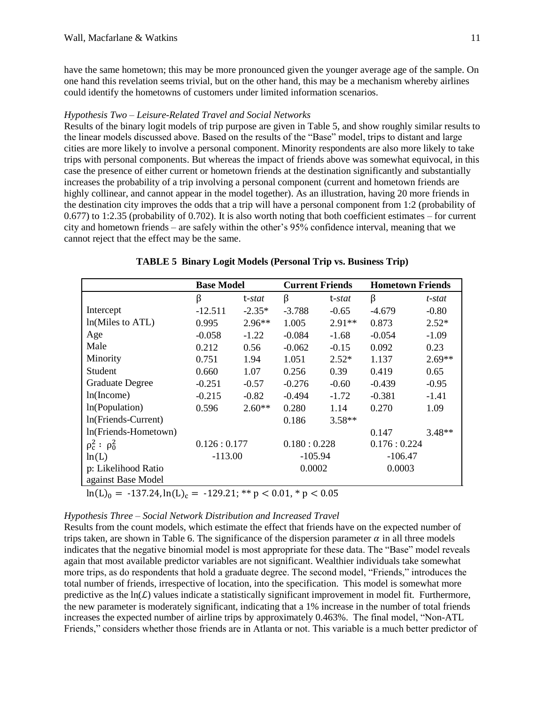have the same hometown; this may be more pronounced given the younger average age of the sample. On one hand this revelation seems trivial, but on the other hand, this may be a mechanism whereby airlines could identify the hometowns of customers under limited information scenarios.

### *Hypothesis Two – Leisure-Related Travel and Social Networks*

Results of the binary logit models of trip purpose are given in Table 5, and show roughly similar results to the linear models discussed above. Based on the results of the "Base" model, trips to distant and large cities are more likely to involve a personal component. Minority respondents are also more likely to take trips with personal components. But whereas the impact of friends above was somewhat equivocal, in this case the presence of either current or hometown friends at the destination significantly and substantially increases the probability of a trip involving a personal component (current and hometown friends are highly collinear, and cannot appear in the model together). As an illustration, having 20 more friends in the destination city improves the odds that a trip will have a personal component from 1:2 (probability of 0.677) to 1:2.35 (probability of 0.702). It is also worth noting that both coefficient estimates – for current city and hometown friends – are safely within the other's 95% confidence interval, meaning that we cannot reject that the effect may be the same.

|                                           | <b>Base Model</b> |          | <b>Current Friends</b> |                | <b>Hometown Friends</b> |          |
|-------------------------------------------|-------------------|----------|------------------------|----------------|-------------------------|----------|
|                                           | β                 | t-stat   | β                      | t- <i>stat</i> | β                       | t-stat   |
| Intercept                                 | $-12.511$         | $-2.35*$ | $-3.788$               | $-0.65$        | $-4.679$                | $-0.80$  |
| ln(Miles to ATL)                          | 0.995             | $2.96**$ | 1.005                  | $2.91**$       | 0.873                   | $2.52*$  |
| Age                                       | $-0.058$          | $-1.22$  | $-0.084$               | $-1.68$        | $-0.054$                | $-1.09$  |
| Male                                      | 0.212             | 0.56     | $-0.062$               | $-0.15$        | 0.092                   | 0.23     |
| Minority                                  | 0.751             | 1.94     | 1.051                  | $2.52*$        | 1.137                   | $2.69**$ |
| Student                                   | 0.660             | 1.07     | 0.256                  | 0.39           | 0.419                   | 0.65     |
| <b>Graduate Degree</b>                    | $-0.251$          | $-0.57$  | $-0.276$               | $-0.60$        | $-0.439$                | $-0.95$  |
| ln(Income)                                | $-0.215$          | $-0.82$  | $-0.494$               | $-1.72$        | $-0.381$                | $-1.41$  |
| In(Population)                            | 0.596             | $2.60**$ | 0.280                  | 1.14           | 0.270                   | 1.09     |
| In(Friends-Current)                       |                   |          | 0.186                  | $3.58**$       |                         |          |
| In(Friends-Hometown)                      |                   |          |                        |                | 0.147                   | $3.48**$ |
| $\rho_c^2$ : $\rho_0^2$                   | 0.126:0.177       |          | 0.180:0.228            |                | 0.176:0.224             |          |
| ln(L)                                     | $-113.00$         |          | $-105.94$              |                | $-106.47$               |          |
| p: Likelihood Ratio<br>against Base Model |                   |          | 0.0002                 |                | 0.0003                  |          |

## **TABLE 5 Binary Logit Models (Personal Trip vs. Business Trip)**

 $\ln(L)_0 = -137.24$ ,  $\ln(L)_c = -129.21$ ; \*\*  $p < 0.01$ , \*  $p < 0.05$ 

## *Hypothesis Three – Social Network Distribution and Increased Travel*

Results from the count models, which estimate the effect that friends have on the expected number of trips taken, are shown in Table 6. The significance of the dispersion parameter  $\alpha$  in all three models indicates that the negative binomial model is most appropriate for these data. The "Base" model reveals again that most available predictor variables are not significant. Wealthier individuals take somewhat more trips, as do respondents that hold a graduate degree. The second model, "Friends," introduces the total number of friends, irrespective of location, into the specification. This model is somewhat more predictive as the  $ln(L)$  values indicate a statistically significant improvement in model fit. Furthermore, the new parameter is moderately significant, indicating that a 1% increase in the number of total friends increases the expected number of airline trips by approximately 0.463%. The final model, "Non-ATL Friends," considers whether those friends are in Atlanta or not. This variable is a much better predictor of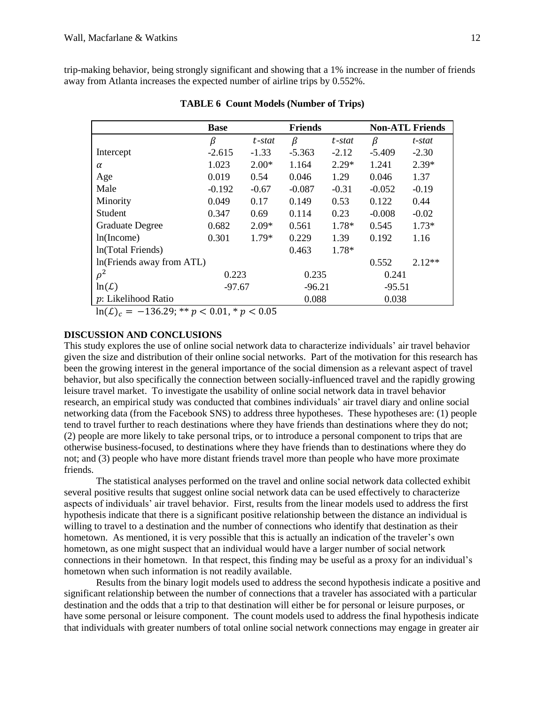trip-making behavior, being strongly significant and showing that a 1% increase in the number of friends away from Atlanta increases the expected number of airline trips by 0.552%.

|                            | <b>Base</b><br><b>Friends</b> |         |          | <b>Non-ATL Friends</b> |          |          |
|----------------------------|-------------------------------|---------|----------|------------------------|----------|----------|
|                            | β                             | t-stat  | β        | t-stat                 | β        | t-stat   |
| Intercept                  | $-2.615$                      | $-1.33$ | $-5.363$ | $-2.12$                | $-5.409$ | $-2.30$  |
| $\alpha$                   | 1.023                         | $2.00*$ | 1.164    | $2.29*$                | 1.241    | $2.39*$  |
| Age                        | 0.019                         | 0.54    | 0.046    | 1.29                   | 0.046    | 1.37     |
| Male                       | $-0.192$                      | $-0.67$ | $-0.087$ | $-0.31$                | $-0.052$ | $-0.19$  |
| Minority                   | 0.049                         | 0.17    | 0.149    | 0.53                   | 0.122    | 0.44     |
| Student                    | 0.347                         | 0.69    | 0.114    | 0.23                   | $-0.008$ | $-0.02$  |
| <b>Graduate Degree</b>     | 0.682                         | $2.09*$ | 0.561    | $1.78*$                | 0.545    | $1.73*$  |
| ln(Income)                 | 0.301                         | $1.79*$ | 0.229    | 1.39                   | 0.192    | 1.16     |
| In(Total Friends)          |                               |         | 0.463    | $1.78*$                |          |          |
| In (Friends away from ATL) |                               |         |          |                        | 0.552    | $2.12**$ |
| $\rho^2$                   | 0.223                         |         | 0.235    |                        | 0.241    |          |
| ln(L)                      | $-97.67$                      |         | $-96.21$ |                        | $-95.51$ |          |
| p: Likelihood Ratio        |                               |         | 0.088    |                        | 0.038    |          |

**TABLE 6 Count Models (Number of Trips)**

 $\ln(\mathcal{L})_c = -136.29$ ; \*\*  $p < 0.01$ , \*  $p < 0.05$ 

## **DISCUSSION AND CONCLUSIONS**

This study explores the use of online social network data to characterize individuals' air travel behavior given the size and distribution of their online social networks. Part of the motivation for this research has been the growing interest in the general importance of the social dimension as a relevant aspect of travel behavior, but also specifically the connection between socially-influenced travel and the rapidly growing leisure travel market. To investigate the usability of online social network data in travel behavior research, an empirical study was conducted that combines individuals' air travel diary and online social networking data (from the Facebook SNS) to address three hypotheses. These hypotheses are: (1) people tend to travel further to reach destinations where they have friends than destinations where they do not; (2) people are more likely to take personal trips, or to introduce a personal component to trips that are otherwise business-focused, to destinations where they have friends than to destinations where they do not; and (3) people who have more distant friends travel more than people who have more proximate friends.

The statistical analyses performed on the travel and online social network data collected exhibit several positive results that suggest online social network data can be used effectively to characterize aspects of individuals' air travel behavior. First, results from the linear models used to address the first hypothesis indicate that there is a significant positive relationship between the distance an individual is willing to travel to a destination and the number of connections who identify that destination as their hometown. As mentioned, it is very possible that this is actually an indication of the traveler's own hometown, as one might suspect that an individual would have a larger number of social network connections in their hometown. In that respect, this finding may be useful as a proxy for an individual's hometown when such information is not readily available.

Results from the binary logit models used to address the second hypothesis indicate a positive and significant relationship between the number of connections that a traveler has associated with a particular destination and the odds that a trip to that destination will either be for personal or leisure purposes, or have some personal or leisure component. The count models used to address the final hypothesis indicate that individuals with greater numbers of total online social network connections may engage in greater air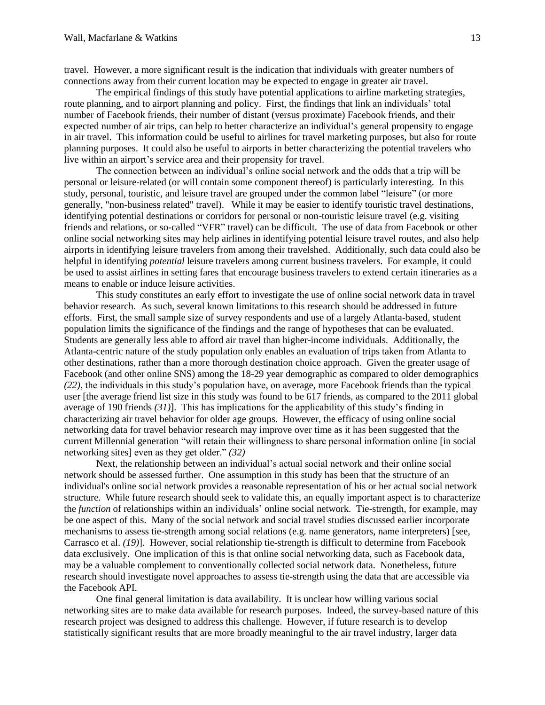travel. However, a more significant result is the indication that individuals with greater numbers of connections away from their current location may be expected to engage in greater air travel.

The empirical findings of this study have potential applications to airline marketing strategies, route planning, and to airport planning and policy. First, the findings that link an individuals' total number of Facebook friends, their number of distant (versus proximate) Facebook friends, and their expected number of air trips, can help to better characterize an individual's general propensity to engage in air travel. This information could be useful to airlines for travel marketing purposes, but also for route planning purposes. It could also be useful to airports in better characterizing the potential travelers who live within an airport's service area and their propensity for travel.

The connection between an individual's online social network and the odds that a trip will be personal or leisure-related (or will contain some component thereof) is particularly interesting. In this study, personal, touristic, and leisure travel are grouped under the common label "leisure" (or more generally, "non-business related" travel). While it may be easier to identify touristic travel destinations, identifying potential destinations or corridors for personal or non-touristic leisure travel (e.g. visiting friends and relations, or so-called "VFR" travel) can be difficult. The use of data from Facebook or other online social networking sites may help airlines in identifying potential leisure travel routes, and also help airports in identifying leisure travelers from among their travelshed. Additionally, such data could also be helpful in identifying *potential* leisure travelers among current business travelers. For example, it could be used to assist airlines in setting fares that encourage business travelers to extend certain itineraries as a means to enable or induce leisure activities.

This study constitutes an early effort to investigate the use of online social network data in travel behavior research. As such, several known limitations to this research should be addressed in future efforts. First, the small sample size of survey respondents and use of a largely Atlanta-based, student population limits the significance of the findings and the range of hypotheses that can be evaluated. Students are generally less able to afford air travel than higher-income individuals. Additionally, the Atlanta-centric nature of the study population only enables an evaluation of trips taken from Atlanta to other destinations, rather than a more thorough destination choice approach. Given the greater usage of Facebook (and other online SNS) among the 18-29 year demographic as compared to older demographics *[\(22\)](#page-14-11)*, the individuals in this study's population have, on average, more Facebook friends than the typical user [the average friend list size in this study was found to be 617 friends, as compared to the 2011 global average of 190 friends *[\(31\)](#page-14-20)*]. This has implications for the applicability of this study's finding in characterizing air travel behavior for older age groups. However, the efficacy of using online social networking data for travel behavior research may improve over time as it has been suggested that the current Millennial generation "will retain their willingness to share personal information online [in social networking sites] even as they get older." *[\(32\)](#page-14-21)*

Next, the relationship between an individual's actual social network and their online social network should be assessed further. One assumption in this study has been that the structure of an individual's online social network provides a reasonable representation of his or her actual social network structure. While future research should seek to validate this, an equally important aspect is to characterize the *function* of relationships within an individuals' online social network. Tie-strength, for example, may be one aspect of this. Many of the social network and social travel studies discussed earlier incorporate mechanisms to assess tie-strength among social relations (e.g. name generators, name interpreters) [see, Carrasco et al. *[\(19\)](#page-14-8)*]. However, social relationship tie-strength is difficult to determine from Facebook data exclusively. One implication of this is that online social networking data, such as Facebook data, may be a valuable complement to conventionally collected social network data. Nonetheless, future research should investigate novel approaches to assess tie-strength using the data that are accessible via the Facebook API.

One final general limitation is data availability. It is unclear how willing various social networking sites are to make data available for research purposes. Indeed, the survey-based nature of this research project was designed to address this challenge. However, if future research is to develop statistically significant results that are more broadly meaningful to the air travel industry, larger data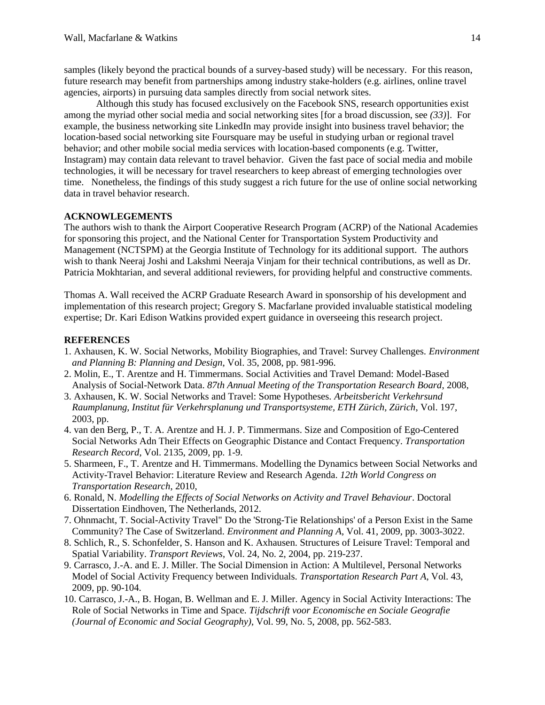samples (likely beyond the practical bounds of a survey-based study) will be necessary. For this reason, future research may benefit from partnerships among industry stake-holders (e.g. airlines, online travel agencies, airports) in pursuing data samples directly from social network sites.

Although this study has focused exclusively on the Facebook SNS, research opportunities exist among the myriad other social media and social networking sites [for a broad discussion, see *[\(33\)](#page-14-22)*]. For example, the business networking site LinkedIn may provide insight into business travel behavior; the location-based social networking site Foursquare may be useful in studying urban or regional travel behavior; and other mobile social media services with location-based components (e.g. Twitter, Instagram) may contain data relevant to travel behavior. Given the fast pace of social media and mobile technologies, it will be necessary for travel researchers to keep abreast of emerging technologies over time. Nonetheless, the findings of this study suggest a rich future for the use of online social networking data in travel behavior research.

# **ACKNOWLEGEMENTS**

The authors wish to thank the Airport Cooperative Research Program (ACRP) of the National Academies for sponsoring this project, and the National Center for Transportation System Productivity and Management (NCTSPM) at the Georgia Institute of Technology for its additional support. The authors wish to thank Neeraj Joshi and Lakshmi Neeraja Vinjam for their technical contributions, as well as Dr. Patricia Mokhtarian, and several additional reviewers, for providing helpful and constructive comments.

Thomas A. Wall received the ACRP Graduate Research Award in sponsorship of his development and implementation of this research project; Gregory S. Macfarlane provided invaluable statistical modeling expertise; Dr. Kari Edison Watkins provided expert guidance in overseeing this research project.

## **REFERENCES**

- <span id="page-13-0"></span>1. Axhausen, K. W. Social Networks, Mobility Biographies, and Travel: Survey Challenges. *Environment and Planning B: Planning and Design*, Vol. 35, 2008, pp. 981-996.
- <span id="page-13-1"></span>2. Molin, E., T. Arentze and H. Timmermans. Social Activities and Travel Demand: Model-Based Analysis of Social-Network Data. *87th Annual Meeting of the Transportation Research Board*, 2008,
- <span id="page-13-8"></span>3. Axhausen, K. W. Social Networks and Travel: Some Hypotheses. *Arbeitsbericht Verkehrsund Raumplanung, Institut für Verkehrsplanung und Transportsysteme, ETH Zürich, Zürich*, Vol. 197, 2003, pp.
- <span id="page-13-9"></span>4. van den Berg, P., T. A. Arentze and H. J. P. Timmermans. Size and Composition of Ego-Centered Social Networks Adn Their Effects on Geographic Distance and Contact Frequency. *Transportation Research Record*, Vol. 2135, 2009, pp. 1-9.
- <span id="page-13-2"></span>5. Sharmeen, F., T. Arentze and H. Timmermans. Modelling the Dynamics between Social Networks and Activity-Travel Behavior: Literature Review and Research Agenda. *12th World Congress on Transportation Research*, 2010,
- <span id="page-13-3"></span>6. Ronald, N. *Modelling the Effects of Social Networks on Activity and Travel Behaviour*. Doctoral Dissertation Eindhoven, The Netherlands, 2012.
- <span id="page-13-4"></span>7. Ohnmacht, T. Social-Activity Travel" Do the 'Strong-Tie Relationships' of a Person Exist in the Same Community? The Case of Switzerland. *Environment and Planning A*, Vol. 41, 2009, pp. 3003-3022.
- <span id="page-13-5"></span>8. Schlich, R., S. Schonfelder, S. Hanson and K. Axhausen. Structures of Leisure Travel: Temporal and Spatial Variability. *Transport Reviews*, Vol. 24, No. 2, 2004, pp. 219-237.
- <span id="page-13-6"></span>9. Carrasco, J.-A. and E. J. Miller. The Social Dimension in Action: A Multilevel, Personal Networks Model of Social Activity Frequency between Individuals. *Transportation Research Part A*, Vol. 43, 2009, pp. 90-104.
- <span id="page-13-7"></span>10. Carrasco, J.-A., B. Hogan, B. Wellman and E. J. Miller. Agency in Social Activity Interactions: The Role of Social Networks in Time and Space. *Tijdschrift voor Economische en Sociale Geografie (Journal of Economic and Social Geography)*, Vol. 99, No. 5, 2008, pp. 562-583.